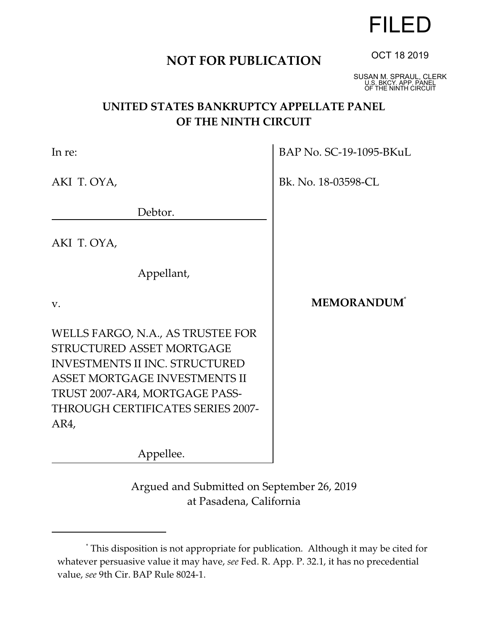# **NOT FOR PUBLICATION**

SUSAN M. SPRAUL, CLERK U.S. BKCY. APP. PANEL OF THE NINTH CIRCUIT

## **UNITED STATES BANKRUPTCY APPELLATE PANEL OF THE NINTH CIRCUIT**

 $\mathbf{r}$ 

| In re:                                                                                                                                                                                                                  | BAP No. SC-19-1095-BKuL        |
|-------------------------------------------------------------------------------------------------------------------------------------------------------------------------------------------------------------------------|--------------------------------|
| AKI T. OYA,                                                                                                                                                                                                             | Bk. No. 18-03598-CL            |
| Debtor.                                                                                                                                                                                                                 |                                |
| AKI T. OYA,                                                                                                                                                                                                             |                                |
| Appellant,                                                                                                                                                                                                              |                                |
| V.                                                                                                                                                                                                                      | <b>MEMORANDUM</b> <sup>*</sup> |
| WELLS FARGO, N.A., AS TRUSTEE FOR<br>STRUCTURED ASSET MORTGAGE<br><b>INVESTMENTS II INC. STRUCTURED</b><br>ASSET MORTGAGE INVESTMENTS II<br>TRUST 2007-AR4, MORTGAGE PASS-<br>THROUGH CERTIFICATES SERIES 2007-<br>AR4, |                                |
| Appellee.                                                                                                                                                                                                               |                                |

Argued and Submitted on September 26, 2019 at Pasadena, California



<sup>\*</sup> This disposition is not appropriate for publication. Although it may be cited for whatever persuasive value it may have, *see* Fed. R. App. P. 32.1, it has no precedential value, *see* 9th Cir. BAP Rule 8024-1.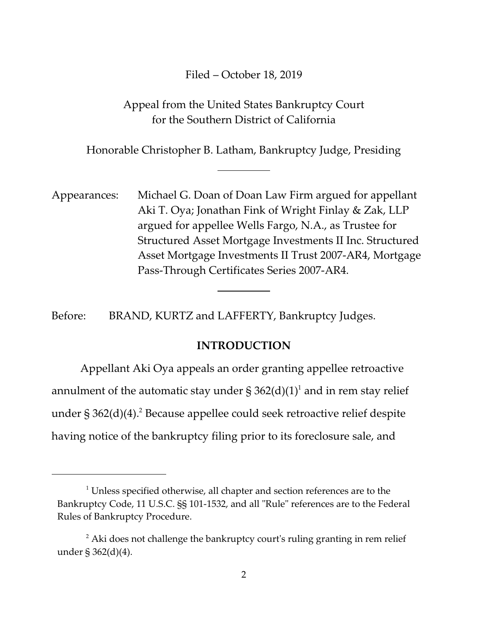## Filed – October 18, 2019

## Appeal from the United States Bankruptcy Court for the Southern District of California

Honorable Christopher B. Latham, Bankruptcy Judge, Presiding

 $\overline{a}$ 

Appearances: Michael G. Doan of Doan Law Firm argued for appellant Aki T. Oya; Jonathan Fink of Wright Finlay & Zak, LLP argued for appellee Wells Fargo, N.A., as Trustee for Structured Asset Mortgage Investments II Inc. Structured Asset Mortgage Investments II Trust 2007-AR4, Mortgage Pass-Through Certificates Series 2007-AR4.

Before: BRAND, KURTZ and LAFFERTY, Bankruptcy Judges.

 $\overline{a}$ 

## **INTRODUCTION**

Appellant Aki Oya appeals an order granting appellee retroactive annulment of the automatic stay under § 362(d)(1) $^{\text{1}}$  and in rem stay relief under § 362(d)(4). $^{2}$  Because appellee could seek retroactive relief despite having notice of the bankruptcy filing prior to its foreclosure sale, and

 $1$  Unless specified otherwise, all chapter and section references are to the Bankruptcy Code, 11 U.S.C. §§ 101-1532, and all "Rule" references are to the Federal Rules of Bankruptcy Procedure.

 $^{\rm 2}$  Aki does not challenge the bankruptcy court's ruling granting in rem relief under § 362(d)(4).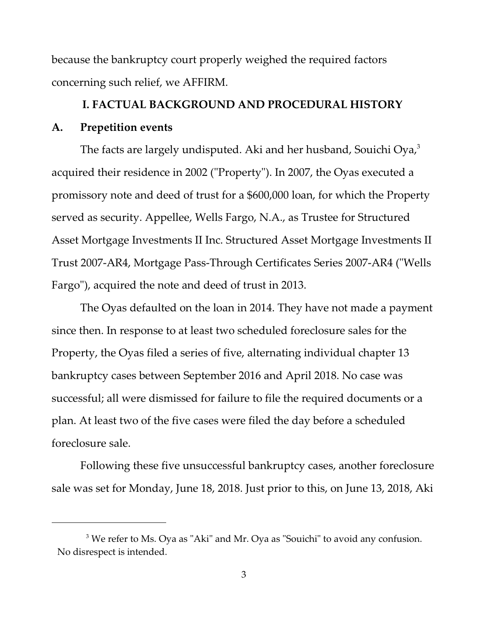because the bankruptcy court properly weighed the required factors concerning such relief, we AFFIRM.

# **I. FACTUAL BACKGROUND AND PROCEDURAL HISTORY A. Prepetition events**

The facts are largely undisputed. Aki and her husband, Souichi Oya, $3$ acquired their residence in 2002 ("Property"). In 2007, the Oyas executed a promissory note and deed of trust for a \$600,000 loan, for which the Property served as security. Appellee, Wells Fargo, N.A., as Trustee for Structured Asset Mortgage Investments II Inc. Structured Asset Mortgage Investments II Trust 2007-AR4, Mortgage Pass-Through Certificates Series 2007-AR4 ("Wells Fargo"), acquired the note and deed of trust in 2013.

The Oyas defaulted on the loan in 2014. They have not made a payment since then. In response to at least two scheduled foreclosure sales for the Property, the Oyas filed a series of five, alternating individual chapter 13 bankruptcy cases between September 2016 and April 2018. No case was successful; all were dismissed for failure to file the required documents or a plan. At least two of the five cases were filed the day before a scheduled foreclosure sale.

Following these five unsuccessful bankruptcy cases, another foreclosure sale was set for Monday, June 18, 2018. Just prior to this, on June 13, 2018, Aki

 $3$  We refer to Ms. Oya as "Aki" and Mr. Oya as "Souichi" to avoid any confusion. No disrespect is intended.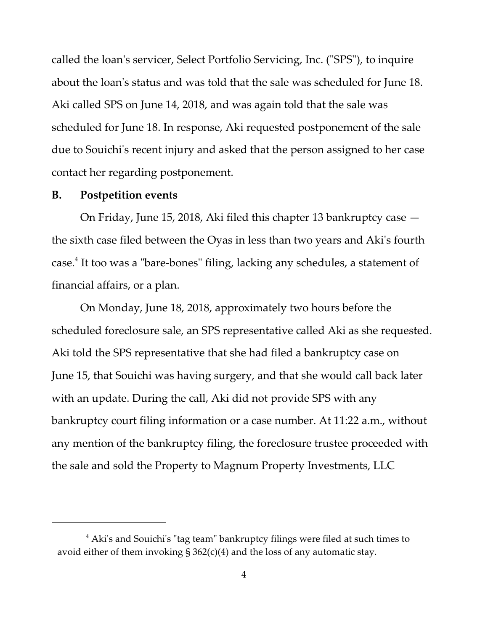called the loan's servicer, Select Portfolio Servicing, Inc. ("SPS"), to inquire about the loan's status and was told that the sale was scheduled for June 18. Aki called SPS on June 14, 2018, and was again told that the sale was scheduled for June 18. In response, Aki requested postponement of the sale due to Souichi's recent injury and asked that the person assigned to her case contact her regarding postponement.

#### **B. Postpetition events**

On Friday, June 15, 2018, Aki filed this chapter 13 bankruptcy case the sixth case filed between the Oyas in less than two years and Aki's fourth case.<sup>4</sup> It too was a "bare-bones" filing, lacking any schedules, a statement of financial affairs, or a plan.

On Monday, June 18, 2018, approximately two hours before the scheduled foreclosure sale, an SPS representative called Aki as she requested. Aki told the SPS representative that she had filed a bankruptcy case on June 15, that Souichi was having surgery, and that she would call back later with an update. During the call, Aki did not provide SPS with any bankruptcy court filing information or a case number. At 11:22 a.m., without any mention of the bankruptcy filing, the foreclosure trustee proceeded with the sale and sold the Property to Magnum Property Investments, LLC

 $^4$  Aki's and Souichi's "tag team" bankruptcy filings were filed at such times to avoid either of them invoking  $\S 362(c)(4)$  and the loss of any automatic stay.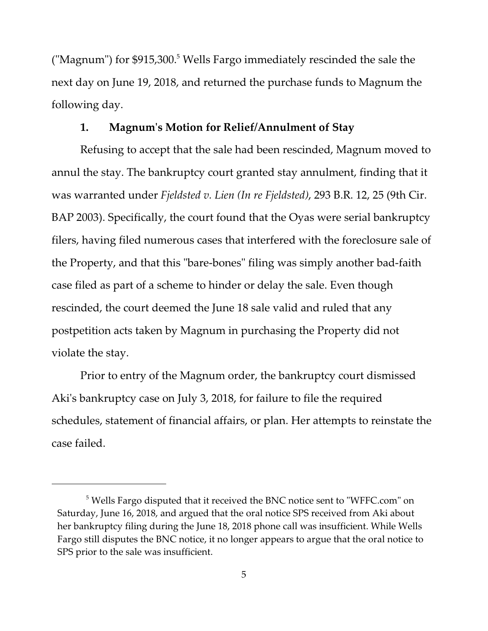("Magnum") for \$915,300.<sup>5</sup> Wells Fargo immediately rescinded the sale the next day on June 19, 2018, and returned the purchase funds to Magnum the following day.

## **1. Magnum's Motion for Relief/Annulment of Stay**

Refusing to accept that the sale had been rescinded, Magnum moved to annul the stay. The bankruptcy court granted stay annulment, finding that it was warranted under *Fjeldsted v. Lien (In re Fjeldsted)*, 293 B.R. 12, 25 (9th Cir. BAP 2003). Specifically, the court found that the Oyas were serial bankruptcy filers, having filed numerous cases that interfered with the foreclosure sale of the Property, and that this "bare-bones" filing was simply another bad-faith case filed as part of a scheme to hinder or delay the sale. Even though rescinded, the court deemed the June 18 sale valid and ruled that any postpetition acts taken by Magnum in purchasing the Property did not violate the stay.

Prior to entry of the Magnum order, the bankruptcy court dismissed Aki's bankruptcy case on July 3, 2018, for failure to file the required schedules, statement of financial affairs, or plan. Her attempts to reinstate the case failed.

 $^5$  Wells Fargo disputed that it received the BNC notice sent to "WFFC.com" on Saturday, June 16, 2018, and argued that the oral notice SPS received from Aki about her bankruptcy filing during the June 18, 2018 phone call was insufficient. While Wells Fargo still disputes the BNC notice, it no longer appears to argue that the oral notice to SPS prior to the sale was insufficient.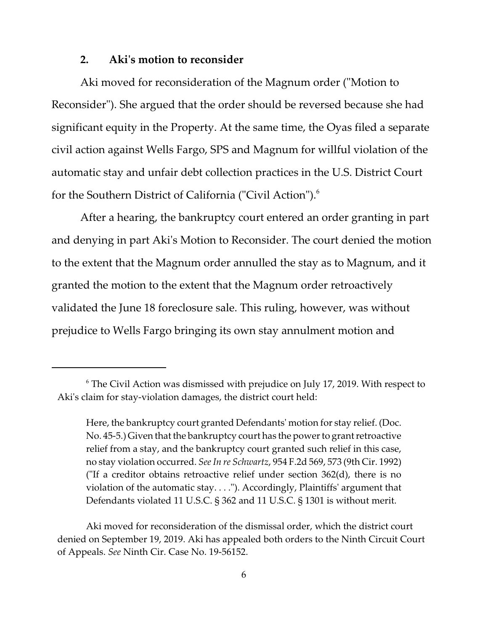#### **2. Aki's motion to reconsider**

Aki moved for reconsideration of the Magnum order ("Motion to Reconsider"). She argued that the order should be reversed because she had significant equity in the Property. At the same time, the Oyas filed a separate civil action against Wells Fargo, SPS and Magnum for willful violation of the automatic stay and unfair debt collection practices in the U.S. District Court for the Southern District of California ("Civil Action").<sup>6</sup>

After a hearing, the bankruptcy court entered an order granting in part and denying in part Aki's Motion to Reconsider. The court denied the motion to the extent that the Magnum order annulled the stay as to Magnum, and it granted the motion to the extent that the Magnum order retroactively validated the June 18 foreclosure sale. This ruling, however, was without prejudice to Wells Fargo bringing its own stay annulment motion and

 $^6$  The Civil Action was dismissed with prejudice on July 17, 2019. With respect to Aki's claim for stay-violation damages, the district court held:

Here, the bankruptcy court granted Defendants' motion for stay relief. (Doc. No. 45-5.) Given that the bankruptcy court has the power to grant retroactive relief from a stay, and the bankruptcy court granted such relief in this case, no stay violation occurred. *See In re Schwartz*, 954 F.2d 569, 573 (9th Cir. 1992) ("If a creditor obtains retroactive relief under section  $362(d)$ , there is no violation of the automatic stay. . . ."). Accordingly, Plaintiffs' argument that Defendants violated 11 U.S.C. § 362 and 11 U.S.C. § 1301 is without merit.

Aki moved for reconsideration of the dismissal order, which the district court denied on September 19, 2019. Aki has appealed both orders to the Ninth Circuit Court of Appeals. *See* Ninth Cir. Case No. 19-56152.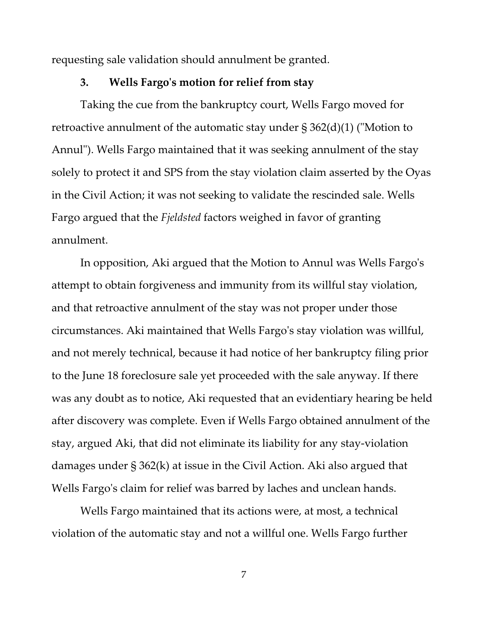requesting sale validation should annulment be granted.

#### **3. Wells Fargo's motion for relief from stay**

Taking the cue from the bankruptcy court, Wells Fargo moved for retroactive annulment of the automatic stay under § 362(d)(1) ("Motion to Annul"). Wells Fargo maintained that it was seeking annulment of the stay solely to protect it and SPS from the stay violation claim asserted by the Oyas in the Civil Action; it was not seeking to validate the rescinded sale. Wells Fargo argued that the *Fjeldsted* factors weighed in favor of granting annulment.

In opposition, Aki argued that the Motion to Annul was Wells Fargo's attempt to obtain forgiveness and immunity from its willful stay violation, and that retroactive annulment of the stay was not proper under those circumstances. Aki maintained that Wells Fargo's stay violation was willful, and not merely technical, because it had notice of her bankruptcy filing prior to the June 18 foreclosure sale yet proceeded with the sale anyway. If there was any doubt as to notice, Aki requested that an evidentiary hearing be held after discovery was complete. Even if Wells Fargo obtained annulment of the stay, argued Aki, that did not eliminate its liability for any stay-violation damages under § 362(k) at issue in the Civil Action. Aki also argued that Wells Fargo's claim for relief was barred by laches and unclean hands.

Wells Fargo maintained that its actions were, at most, a technical violation of the automatic stay and not a willful one. Wells Fargo further

7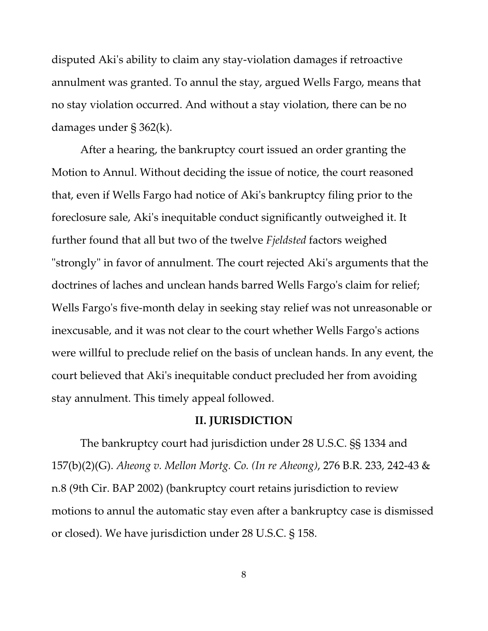disputed Aki's ability to claim any stay-violation damages if retroactive annulment was granted. To annul the stay, argued Wells Fargo, means that no stay violation occurred. And without a stay violation, there can be no damages under § 362(k).

After a hearing, the bankruptcy court issued an order granting the Motion to Annul. Without deciding the issue of notice, the court reasoned that, even if Wells Fargo had notice of Aki's bankruptcy filing prior to the foreclosure sale, Aki's inequitable conduct significantly outweighed it. It further found that all but two of the twelve *Fjeldsted* factors weighed "strongly" in favor of annulment. The court rejected Aki's arguments that the doctrines of laches and unclean hands barred Wells Fargo's claim for relief; Wells Fargo's five-month delay in seeking stay relief was not unreasonable or inexcusable, and it was not clear to the court whether Wells Fargo's actions were willful to preclude relief on the basis of unclean hands. In any event, the court believed that Aki's inequitable conduct precluded her from avoiding stay annulment. This timely appeal followed.

#### **II. JURISDICTION**

The bankruptcy court had jurisdiction under 28 U.S.C. §§ 1334 and 157(b)(2)(G). *Aheong v. Mellon Mortg. Co. (In re Aheong)*, 276 B.R. 233, 242-43 & n.8 (9th Cir. BAP 2002) (bankruptcy court retains jurisdiction to review motions to annul the automatic stay even after a bankruptcy case is dismissed or closed). We have jurisdiction under 28 U.S.C. § 158.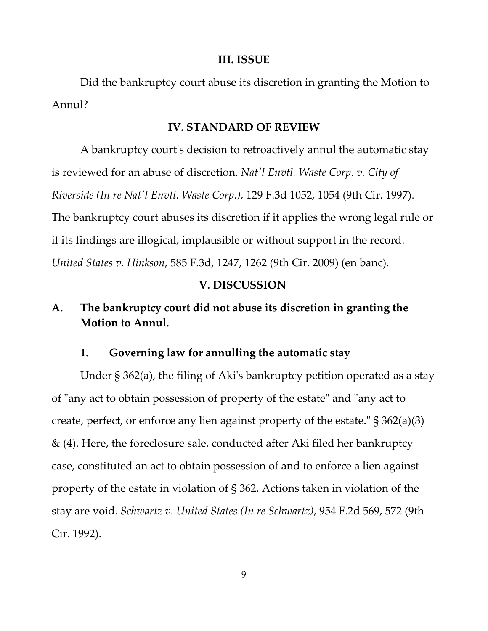#### **III. ISSUE**

Did the bankruptcy court abuse its discretion in granting the Motion to Annul?

#### **IV. STANDARD OF REVIEW**

A bankruptcy court's decision to retroactively annul the automatic stay is reviewed for an abuse of discretion. *Nat'l Envtl. Waste Corp. v. City of Riverside (In re Nat'l Envtl. Waste Corp.)*, 129 F.3d 1052, 1054 (9th Cir. 1997). The bankruptcy court abuses its discretion if it applies the wrong legal rule or if its findings are illogical, implausible or without support in the record. *United States v. Hinkson*, 585 F.3d, 1247, 1262 (9th Cir. 2009) (en banc).

### **V. DISCUSSION**

# **A. The bankruptcy court did not abuse its discretion in granting the Motion to Annul.**

#### **1. Governing law for annulling the automatic stay**

Under § 362(a), the filing of Aki's bankruptcy petition operated as a stay of "any act to obtain possession of property of the estate" and "any act to create, perfect, or enforce any lien against property of the estate." § 362(a)(3) & (4). Here, the foreclosure sale, conducted after Aki filed her bankruptcy case, constituted an act to obtain possession of and to enforce a lien against property of the estate in violation of § 362. Actions taken in violation of the stay are void. *Schwartz v. United States (In re Schwartz)*, 954 F.2d 569, 572 (9th Cir. 1992).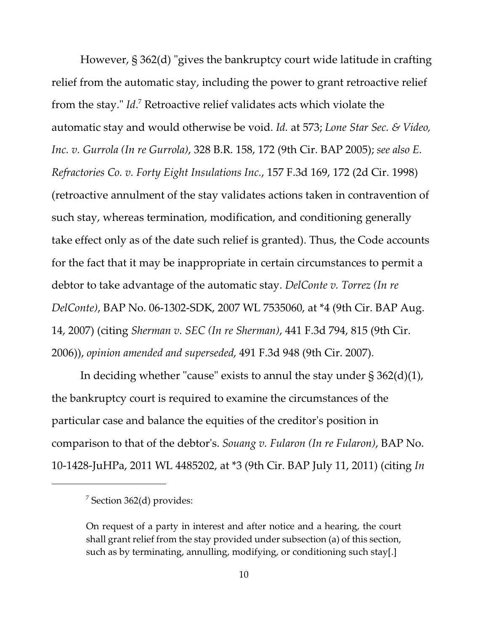However, § 362(d) "gives the bankruptcy court wide latitude in crafting relief from the automatic stay, including the power to grant retroactive relief from the stay." *Id*. <sup>7</sup> Retroactive relief validates acts which violate the automatic stay and would otherwise be void. *Id.* at 573; *Lone Star Sec. & Video, Inc. v. Gurrola (In re Gurrola)*, 328 B.R. 158, 172 (9th Cir. BAP 2005); *see also E. Refractories Co. v. Forty Eight Insulations Inc.*, 157 F.3d 169, 172 (2d Cir. 1998) (retroactive annulment of the stay validates actions taken in contravention of such stay, whereas termination, modification, and conditioning generally take effect only as of the date such relief is granted). Thus, the Code accounts for the fact that it may be inappropriate in certain circumstances to permit a debtor to take advantage of the automatic stay. *DelConte v. Torrez (In re DelConte)*, BAP No. 06-1302-SDK, 2007 WL 7535060, at \*4 (9th Cir. BAP Aug. 14, 2007) (citing *Sherman v. SEC (In re Sherman)*, 441 F.3d 794, 815 (9th Cir. 2006)), *opinion amended and superseded*, 491 F.3d 948 (9th Cir. 2007).

In deciding whether "cause" exists to annul the stay under  $\S 362(d)(1)$ , the bankruptcy court is required to examine the circumstances of the particular case and balance the equities of the creditor's position in comparison to that of the debtor's. *Souang v. Fularon (In re Fularon)*, BAP No. 10-1428-JuHPa, 2011 WL 4485202, at \*3 (9th Cir. BAP July 11, 2011) (citing *In*

<sup>&</sup>lt;sup>7</sup> Section 362(d) provides:

On request of a party in interest and after notice and a hearing, the court shall grant relief from the stay provided under subsection (a) of this section, such as by terminating, annulling, modifying, or conditioning such stay[.]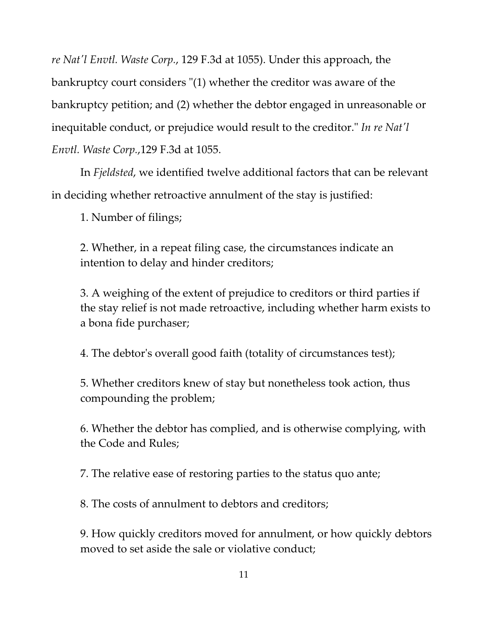*re Nat'l Envtl. Waste Corp.*, 129 F.3d at 1055). Under this approach, the bankruptcy court considers "(1) whether the creditor was aware of the bankruptcy petition; and (2) whether the debtor engaged in unreasonable or inequitable conduct, or prejudice would result to the creditor." *In re Nat'l Envtl. Waste Corp.*,129 F.3d at 1055.

In *Fjeldsted*, we identified twelve additional factors that can be relevant in deciding whether retroactive annulment of the stay is justified:

1. Number of filings;

2. Whether, in a repeat filing case, the circumstances indicate an intention to delay and hinder creditors;

3. A weighing of the extent of prejudice to creditors or third parties if the stay relief is not made retroactive, including whether harm exists to a bona fide purchaser;

4. The debtor's overall good faith (totality of circumstances test);

5. Whether creditors knew of stay but nonetheless took action, thus compounding the problem;

6. Whether the debtor has complied, and is otherwise complying, with the Code and Rules;

7. The relative ease of restoring parties to the status quo ante;

8. The costs of annulment to debtors and creditors;

9. How quickly creditors moved for annulment, or how quickly debtors moved to set aside the sale or violative conduct;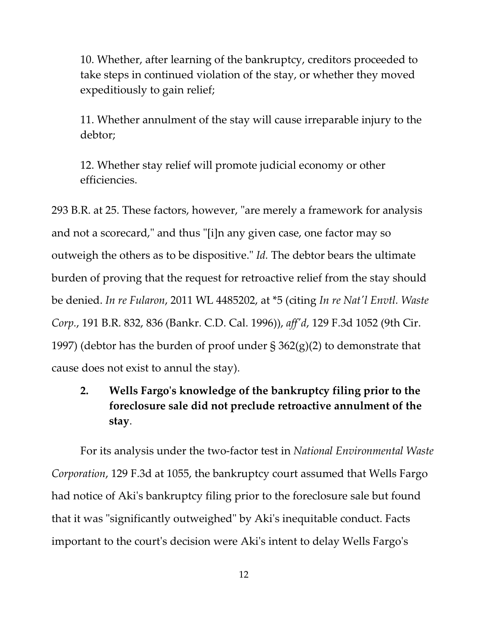10. Whether, after learning of the bankruptcy, creditors proceeded to take steps in continued violation of the stay, or whether they moved expeditiously to gain relief;

11. Whether annulment of the stay will cause irreparable injury to the debtor;

12. Whether stay relief will promote judicial economy or other efficiencies.

293 B.R. at 25. These factors, however, "are merely a framework for analysis and not a scorecard," and thus "[i]n any given case, one factor may so outweigh the others as to be dispositive." *Id.* The debtor bears the ultimate burden of proving that the request for retroactive relief from the stay should be denied. *In re Fularon*, 2011 WL 4485202, at \*5 (citing *In re Nat'l Envtl. Waste Corp.*, 191 B.R. 832, 836 (Bankr. C.D. Cal. 1996)), *aff'd*, 129 F.3d 1052 (9th Cir. 1997) (debtor has the burden of proof under § 362(g)(2) to demonstrate that cause does not exist to annul the stay).

# **2. Wells Fargo's knowledge of the bankruptcy filing prior to the foreclosure sale did not preclude retroactive annulment of the stay**.

For its analysis under the two-factor test in *National Environmental Waste Corporation*, 129 F.3d at 1055, the bankruptcy court assumed that Wells Fargo had notice of Aki's bankruptcy filing prior to the foreclosure sale but found that it was "significantly outweighed" by Aki's inequitable conduct. Facts important to the court's decision were Aki's intent to delay Wells Fargo's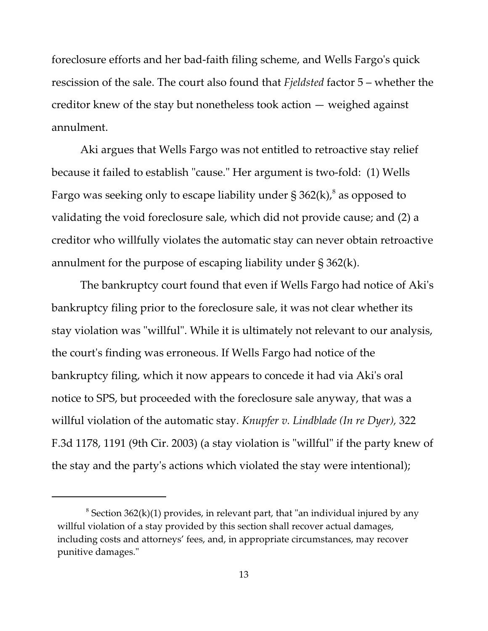foreclosure efforts and her bad-faith filing scheme, and Wells Fargo's quick rescission of the sale. The court also found that *Fjeldsted* factor 5 – whether the creditor knew of the stay but nonetheless took action — weighed against annulment.

Aki argues that Wells Fargo was not entitled to retroactive stay relief because it failed to establish "cause." Her argument is two-fold: (1) Wells Fargo was seeking only to escape liability under § 362(k), $^8$  as opposed to validating the void foreclosure sale, which did not provide cause; and (2) a creditor who willfully violates the automatic stay can never obtain retroactive annulment for the purpose of escaping liability under § 362(k).

The bankruptcy court found that even if Wells Fargo had notice of Aki's bankruptcy filing prior to the foreclosure sale, it was not clear whether its stay violation was "willful". While it is ultimately not relevant to our analysis, the court's finding was erroneous. If Wells Fargo had notice of the bankruptcy filing, which it now appears to concede it had via Aki's oral notice to SPS, but proceeded with the foreclosure sale anyway, that was a willful violation of the automatic stay. *Knupfer v. Lindblade (In re Dyer),* 322 F.3d 1178, 1191 (9th Cir. 2003) (a stay violation is "willful" if the party knew of the stay and the party's actions which violated the stay were intentional);

 $^8$  Section 362(k)(1) provides, in relevant part, that "an individual injured by any willful violation of a stay provided by this section shall recover actual damages, including costs and attorneys' fees, and, in appropriate circumstances, may recover punitive damages."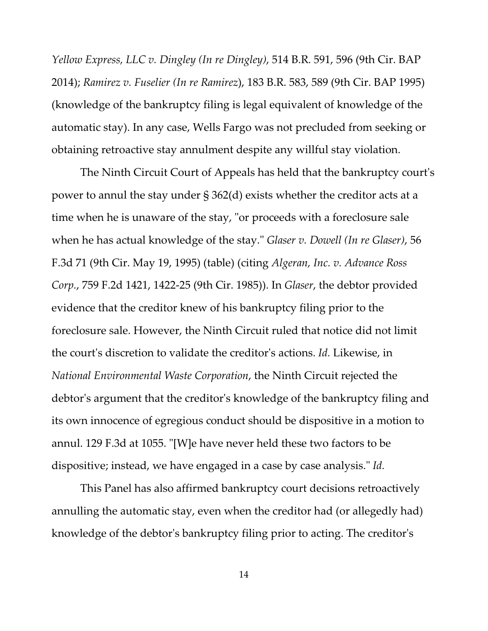*Yellow Express, LLC v. Dingley (In re Dingley)*, 514 B.R. 591, 596 (9th Cir. BAP 2014); *Ramirez v. Fuselier (In re Ramirez*), 183 B.R. 583, 589 (9th Cir. BAP 1995) (knowledge of the bankruptcy filing is legal equivalent of knowledge of the automatic stay). In any case, Wells Fargo was not precluded from seeking or obtaining retroactive stay annulment despite any willful stay violation.

The Ninth Circuit Court of Appeals has held that the bankruptcy court's power to annul the stay under § 362(d) exists whether the creditor acts at a time when he is unaware of the stay, "or proceeds with a foreclosure sale when he has actual knowledge of the stay." *Glaser v. Dowell (In re Glaser)*, 56 F.3d 71 (9th Cir. May 19, 1995) (table) (citing *Algeran, Inc. v. Advance Ross Corp.*, 759 F.2d 1421, 1422-25 (9th Cir. 1985)). In *Glaser*, the debtor provided evidence that the creditor knew of his bankruptcy filing prior to the foreclosure sale. However, the Ninth Circuit ruled that notice did not limit the court's discretion to validate the creditor's actions. *Id.* Likewise, in *National Environmental Waste Corporation*, the Ninth Circuit rejected the debtor's argument that the creditor's knowledge of the bankruptcy filing and its own innocence of egregious conduct should be dispositive in a motion to annul. 129 F.3d at 1055. "[W]e have never held these two factors to be dispositive; instead, we have engaged in a case by case analysis." *Id.*

This Panel has also affirmed bankruptcy court decisions retroactively annulling the automatic stay, even when the creditor had (or allegedly had) knowledge of the debtor's bankruptcy filing prior to acting. The creditor's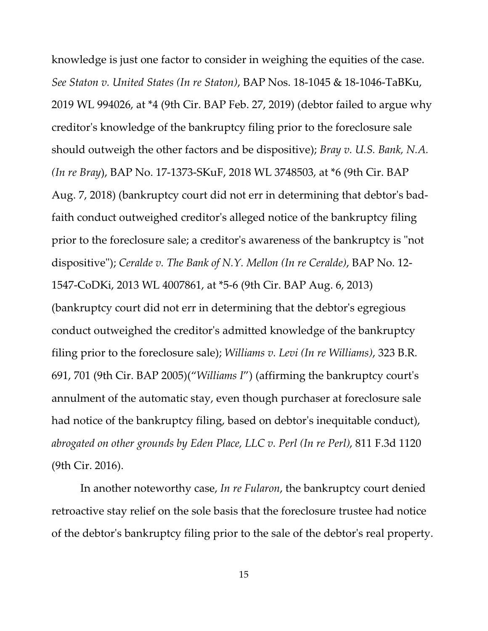knowledge is just one factor to consider in weighing the equities of the case. *See Staton v. United States (In re Staton)*, BAP Nos. 18-1045 & 18-1046-TaBKu, 2019 WL 994026, at \*4 (9th Cir. BAP Feb. 27, 2019) (debtor failed to argue why creditor's knowledge of the bankruptcy filing prior to the foreclosure sale should outweigh the other factors and be dispositive); *Bray v. U.S. Bank, N.A. (In re Bray*), BAP No. 17-1373-SKuF, 2018 WL 3748503, at \*6 (9th Cir. BAP Aug. 7, 2018) (bankruptcy court did not err in determining that debtor's badfaith conduct outweighed creditor's alleged notice of the bankruptcy filing prior to the foreclosure sale; a creditor's awareness of the bankruptcy is "not dispositive"); *Ceralde v. The Bank of N.Y. Mellon (In re Ceralde)*, BAP No. 12- 1547-CoDKi, 2013 WL 4007861, at \*5-6 (9th Cir. BAP Aug. 6, 2013) (bankruptcy court did not err in determining that the debtor's egregious conduct outweighed the creditor's admitted knowledge of the bankruptcy filing prior to the foreclosure sale); *Williams v. Levi (In re Williams)*, 323 B.R. 691, 701 (9th Cir. BAP 2005)("*Williams I*") (affirming the bankruptcy court's annulment of the automatic stay, even though purchaser at foreclosure sale had notice of the bankruptcy filing, based on debtor's inequitable conduct), *abrogated on other grounds by Eden Place, LLC v. Perl (In re Perl)*, 811 F.3d 1120 (9th Cir. 2016).

In another noteworthy case, *In re Fularon*, the bankruptcy court denied retroactive stay relief on the sole basis that the foreclosure trustee had notice of the debtor's bankruptcy filing prior to the sale of the debtor's real property.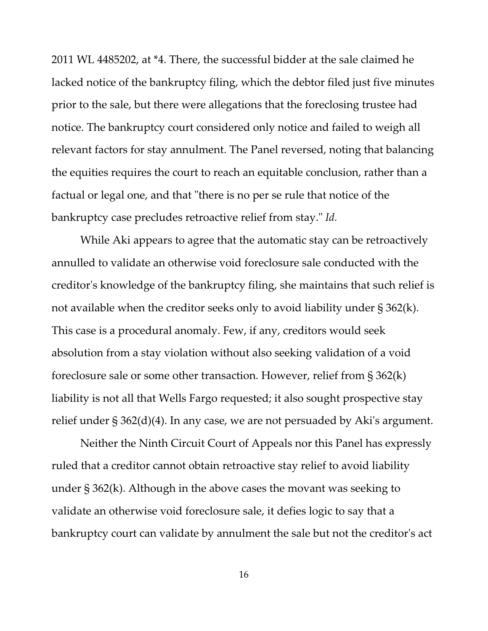2011 WL 4485202, at \*4. There, the successful bidder at the sale claimed he lacked notice of the bankruptcy filing, which the debtor filed just five minutes prior to the sale, but there were allegations that the foreclosing trustee had notice. The bankruptcy court considered only notice and failed to weigh all relevant factors for stay annulment. The Panel reversed, noting that balancing the equities requires the court to reach an equitable conclusion, rather than a factual or legal one, and that "there is no per se rule that notice of the bankruptcy case precludes retroactive relief from stay." *Id.*

While Aki appears to agree that the automatic stay can be retroactively annulled to validate an otherwise void foreclosure sale conducted with the creditor's knowledge of the bankruptcy filing, she maintains that such relief is not available when the creditor seeks only to avoid liability under § 362(k). This case is a procedural anomaly. Few, if any, creditors would seek absolution from a stay violation without also seeking validation of a void foreclosure sale or some other transaction. However, relief from § 362(k) liability is not all that Wells Fargo requested; it also sought prospective stay relief under § 362(d)(4). In any case, we are not persuaded by Aki's argument.

Neither the Ninth Circuit Court of Appeals nor this Panel has expressly ruled that a creditor cannot obtain retroactive stay relief to avoid liability under § 362(k). Although in the above cases the movant was seeking to validate an otherwise void foreclosure sale, it defies logic to say that a bankruptcy court can validate by annulment the sale but not the creditor's act

16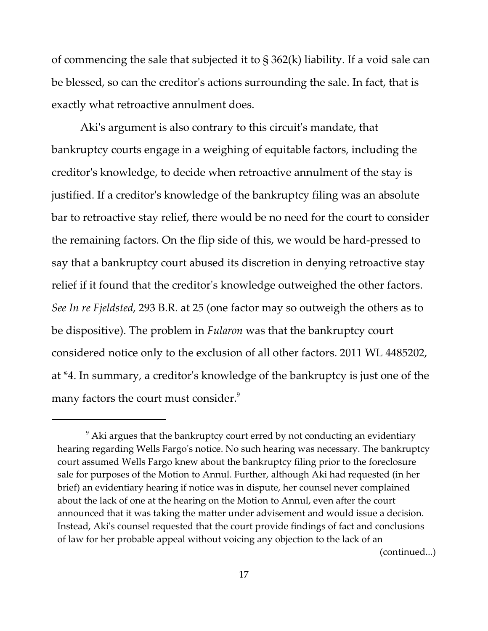of commencing the sale that subjected it to § 362(k) liability. If a void sale can be blessed, so can the creditor's actions surrounding the sale. In fact, that is exactly what retroactive annulment does.

Aki's argument is also contrary to this circuit's mandate, that bankruptcy courts engage in a weighing of equitable factors, including the creditor's knowledge, to decide when retroactive annulment of the stay is justified. If a creditor's knowledge of the bankruptcy filing was an absolute bar to retroactive stay relief, there would be no need for the court to consider the remaining factors. On the flip side of this, we would be hard-pressed to say that a bankruptcy court abused its discretion in denying retroactive stay relief if it found that the creditor's knowledge outweighed the other factors. *See In re Fjeldsted*, 293 B.R. at 25 (one factor may so outweigh the others as to be dispositive). The problem in *Fularon* was that the bankruptcy court considered notice only to the exclusion of all other factors. 2011 WL 4485202, at \*4. In summary, a creditor's knowledge of the bankruptcy is just one of the many factors the court must consider. $9$ 

 $^9$  Aki argues that the bankruptcy court erred by not conducting an evidentiary hearing regarding Wells Fargo's notice. No such hearing was necessary. The bankruptcy court assumed Wells Fargo knew about the bankruptcy filing prior to the foreclosure sale for purposes of the Motion to Annul. Further, although Aki had requested (in her brief) an evidentiary hearing if notice was in dispute, her counsel never complained about the lack of one at the hearing on the Motion to Annul, even after the court announced that it was taking the matter under advisement and would issue a decision. Instead, Aki's counsel requested that the court provide findings of fact and conclusions of law for her probable appeal without voicing any objection to the lack of an (continued...)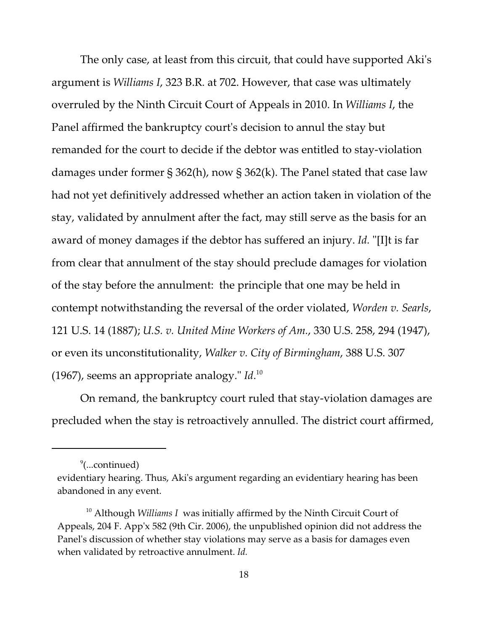The only case, at least from this circuit, that could have supported Aki's argument is *Williams I*, 323 B.R. at 702. However, that case was ultimately overruled by the Ninth Circuit Court of Appeals in 2010. In *Williams I*, the Panel affirmed the bankruptcy court's decision to annul the stay but remanded for the court to decide if the debtor was entitled to stay-violation damages under former § 362(h), now § 362(k). The Panel stated that case law had not yet definitively addressed whether an action taken in violation of the stay, validated by annulment after the fact, may still serve as the basis for an award of money damages if the debtor has suffered an injury. *Id.* "[I]t is far from clear that annulment of the stay should preclude damages for violation of the stay before the annulment: the principle that one may be held in contempt notwithstanding the reversal of the order violated, *Worden v. Searls*, 121 U.S. 14 (1887); *U.S. v. United Mine Workers of Am.*, 330 U.S. 258, 294 (1947), or even its unconstitutionality, *Walker v. City of Birmingham*, 388 U.S. 307 (1967), seems an appropriate analogy." *Id*. 10

On remand, the bankruptcy court ruled that stay-violation damages are precluded when the stay is retroactively annulled. The district court affirmed,

<sup>9</sup> (...continued)

evidentiary hearing. Thus, Aki's argument regarding an evidentiary hearing has been abandoned in any event.

<sup>&</sup>lt;sup>10</sup> Although *Williams I* was initially affirmed by the Ninth Circuit Court of Appeals, 204 F. App'x 582 (9th Cir. 2006), the unpublished opinion did not address the Panel's discussion of whether stay violations may serve as a basis for damages even when validated by retroactive annulment. *Id.*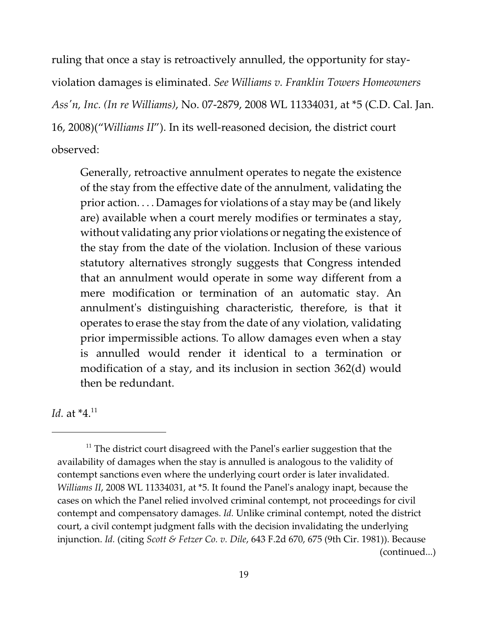ruling that once a stay is retroactively annulled, the opportunity for stayviolation damages is eliminated. *See Williams v. Franklin Towers Homeowners Ass'n, Inc. (In re Williams)*, No. 07-2879, 2008 WL 11334031, at \*5 (C.D. Cal. Jan. 16, 2008)("*Williams II*"). In its well-reasoned decision, the district court observed:

Generally, retroactive annulment operates to negate the existence of the stay from the effective date of the annulment, validating the prior action. . . . Damages for violations of a stay may be (and likely are) available when a court merely modifies or terminates a stay, without validating any prior violations or negating the existence of the stay from the date of the violation. Inclusion of these various statutory alternatives strongly suggests that Congress intended that an annulment would operate in some way different from a mere modification or termination of an automatic stay. An annulment's distinguishing characteristic, therefore, is that it operates to erase the stay from the date of any violation, validating prior impermissible actions. To allow damages even when a stay is annulled would render it identical to a termination or modification of a stay, and its inclusion in section 362(d) would then be redundant.

*Id.* at  $*4$ <sup>11</sup>

 $^{\rm 11}$  The district court disagreed with the Panel's earlier suggestion that the availability of damages when the stay is annulled is analogous to the validity of contempt sanctions even where the underlying court order is later invalidated. *Williams II*, 2008 WL 11334031, at \*5. It found the Panel's analogy inapt, because the cases on which the Panel relied involved criminal contempt, not proceedings for civil contempt and compensatory damages. *Id.* Unlike criminal contempt, noted the district court, a civil contempt judgment falls with the decision invalidating the underlying injunction. *Id.* (citing *Scott & Fetzer Co. v. Dile*, 643 F.2d 670, 675 (9th Cir. 1981)). Because (continued...)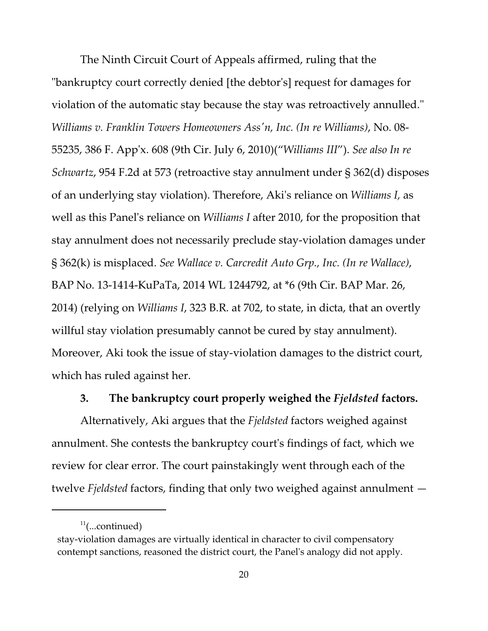The Ninth Circuit Court of Appeals affirmed, ruling that the "bankruptcy court correctly denied [the debtor's] request for damages for violation of the automatic stay because the stay was retroactively annulled." *Williams v. Franklin Towers Homeowners Ass'n, Inc. (In re Williams)*, No. 08- 55235, 386 F. App'x. 608 (9th Cir. July 6, 2010)("*Williams III*"). *See also In re Schwartz*, 954 F.2d at 573 (retroactive stay annulment under § 362(d) disposes of an underlying stay violation). Therefore, Aki's reliance on *Williams I,* as well as this Panel's reliance on *Williams I* after 2010, for the proposition that stay annulment does not necessarily preclude stay-violation damages under § 362(k) is misplaced. *See Wallace v. Carcredit Auto Grp., Inc. (In re Wallace)*, BAP No. 13-1414-KuPaTa, 2014 WL 1244792, at \*6 (9th Cir. BAP Mar. 26, 2014) (relying on *Williams I*, 323 B.R. at 702, to state, in dicta, that an overtly willful stay violation presumably cannot be cured by stay annulment). Moreover, Aki took the issue of stay-violation damages to the district court, which has ruled against her.

#### **3. The bankruptcy court properly weighed the** *Fjeldsted* **factors.**

Alternatively, Aki argues that the *Fjeldsted* factors weighed against annulment. She contests the bankruptcy court's findings of fact, which we review for clear error. The court painstakingly went through each of the twelve *Fjeldsted* factors, finding that only two weighed against annulment —

 $11$ (...continued)

stay-violation damages are virtually identical in character to civil compensatory contempt sanctions, reasoned the district court, the Panel's analogy did not apply.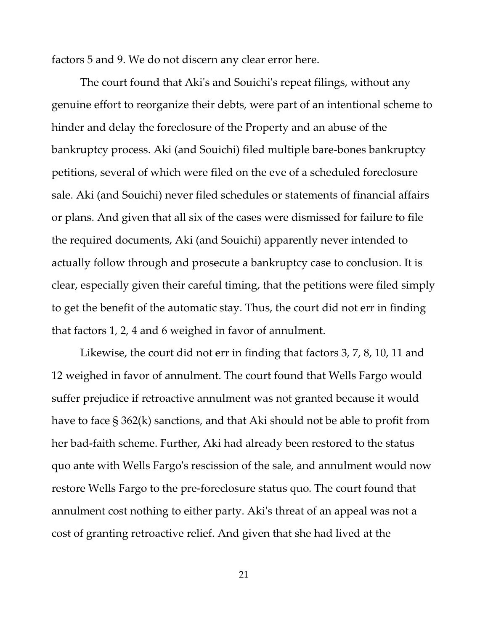factors 5 and 9. We do not discern any clear error here.

The court found that Aki's and Souichi's repeat filings, without any genuine effort to reorganize their debts, were part of an intentional scheme to hinder and delay the foreclosure of the Property and an abuse of the bankruptcy process. Aki (and Souichi) filed multiple bare-bones bankruptcy petitions, several of which were filed on the eve of a scheduled foreclosure sale. Aki (and Souichi) never filed schedules or statements of financial affairs or plans. And given that all six of the cases were dismissed for failure to file the required documents, Aki (and Souichi) apparently never intended to actually follow through and prosecute a bankruptcy case to conclusion. It is clear, especially given their careful timing, that the petitions were filed simply to get the benefit of the automatic stay. Thus, the court did not err in finding that factors 1, 2, 4 and 6 weighed in favor of annulment.

Likewise, the court did not err in finding that factors 3, 7, 8, 10, 11 and 12 weighed in favor of annulment. The court found that Wells Fargo would suffer prejudice if retroactive annulment was not granted because it would have to face § 362(k) sanctions, and that Aki should not be able to profit from her bad-faith scheme. Further, Aki had already been restored to the status quo ante with Wells Fargo's rescission of the sale, and annulment would now restore Wells Fargo to the pre-foreclosure status quo. The court found that annulment cost nothing to either party. Aki's threat of an appeal was not a cost of granting retroactive relief. And given that she had lived at the

21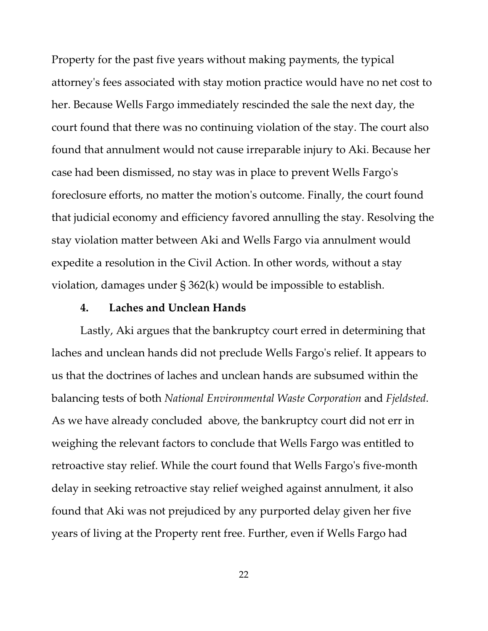Property for the past five years without making payments, the typical attorney's fees associated with stay motion practice would have no net cost to her. Because Wells Fargo immediately rescinded the sale the next day, the court found that there was no continuing violation of the stay. The court also found that annulment would not cause irreparable injury to Aki. Because her case had been dismissed, no stay was in place to prevent Wells Fargo's foreclosure efforts, no matter the motion's outcome. Finally, the court found that judicial economy and efficiency favored annulling the stay. Resolving the stay violation matter between Aki and Wells Fargo via annulment would expedite a resolution in the Civil Action. In other words, without a stay violation, damages under § 362(k) would be impossible to establish.

#### **4. Laches and Unclean Hands**

Lastly, Aki argues that the bankruptcy court erred in determining that laches and unclean hands did not preclude Wells Fargo's relief. It appears to us that the doctrines of laches and unclean hands are subsumed within the balancing tests of both *National Environmental Waste Corporation* and *Fjeldsted*. As we have already concluded above, the bankruptcy court did not err in weighing the relevant factors to conclude that Wells Fargo was entitled to retroactive stay relief. While the court found that Wells Fargo's five-month delay in seeking retroactive stay relief weighed against annulment, it also found that Aki was not prejudiced by any purported delay given her five years of living at the Property rent free. Further, even if Wells Fargo had